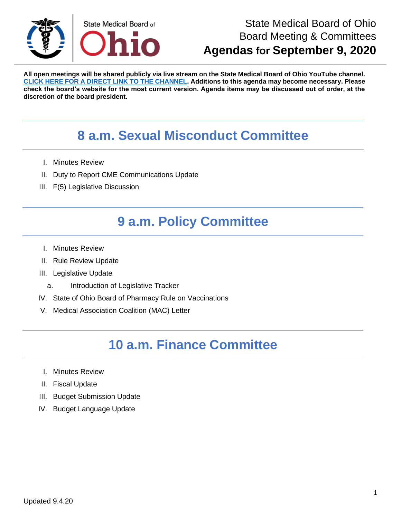

**All open meetings will be shared publicly via live stream on the State Medical Board of Ohio YouTube channel. [CLICK HERE FOR A DIRECT LINK TO THE CHANNEL.](https://www.youtube.com/channel/UCWBHBfwOyUtBZmBEZvtYPvA) Additions to this agenda may become necessary. Please check the board's website for the most current version. Agenda items may be discussed out of order, at the discretion of the board president.**

# **8 a.m. Sexual Misconduct Committee**

- I. Minutes Review
- II. Duty to Report CME Communications Update
- III. F(5) Legislative Discussion

# **9 a.m. Policy Committee**

- I. Minutes Review
- II. Rule Review Update
- III. Legislative Update
	- a. Introduction of Legislative Tracker
- IV. State of Ohio Board of Pharmacy Rule on Vaccinations
- V. Medical Association Coalition (MAC) Letter

## **10 a.m. Finance Committee**

- I. Minutes Review
- II. Fiscal Update
- III. Budget Submission Update
- IV. Budget Language Update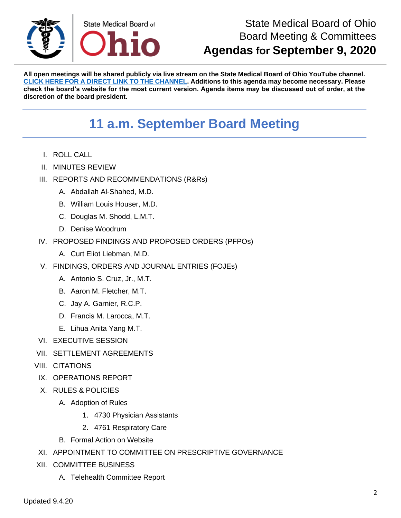

**All open meetings will be shared publicly via live stream on the State Medical Board of Ohio YouTube channel. [CLICK HERE FOR A DIRECT LINK TO THE CHANNEL.](https://www.youtube.com/channel/UCWBHBfwOyUtBZmBEZvtYPvA) Additions to this agenda may become necessary. Please check the board's website for the most current version. Agenda items may be discussed out of order, at the discretion of the board president.**

# **11 a.m. September Board Meeting**

- I. ROLL CALL
- II. MINUTES REVIEW
- III. REPORTS AND RECOMMENDATIONS (R&Rs)
	- A. Abdallah Al-Shahed, M.D.
	- B. William Louis Houser, M.D.
	- C. Douglas M. Shodd, L.M.T.
	- D. Denise Woodrum
- IV. PROPOSED FINDINGS AND PROPOSED ORDERS (PFPOs)
	- A. Curt Eliot Liebman, M.D.
- V. FINDINGS, ORDERS AND JOURNAL ENTRIES (FOJEs)
	- A. Antonio S. Cruz, Jr., M.T.
	- B. Aaron M. Fletcher, M.T.
	- C. Jay A. Garnier, R.C.P.
	- D. Francis M. Larocca, M.T.
	- E. Lihua Anita Yang M.T.
- VI. EXECUTIVE SESSION
- VII. SETTLEMENT AGREEMENTS
- VIII. CITATIONS
- IX. OPERATIONS REPORT
- X. RULES & POLICIES
	- A. Adoption of Rules
		- 1. 4730 Physician Assistants
		- 2. 4761 Respiratory Care
	- B. Formal Action on Website
- XI. APPOINTMENT TO COMMITTEE ON PRESCRIPTIVE GOVERNANCE
- XII. COMMITTEE BUSINESS
	- A. Telehealth Committee Report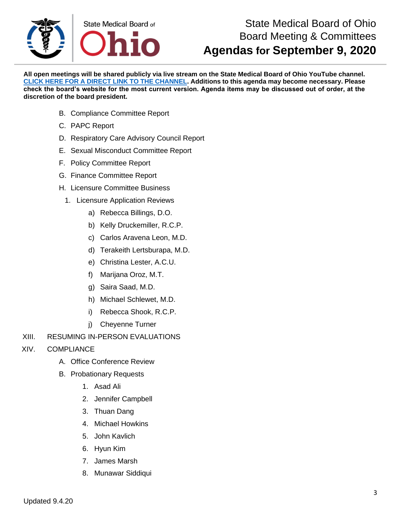

**All open meetings will be shared publicly via live stream on the State Medical Board of Ohio YouTube channel. [CLICK HERE FOR A DIRECT LINK TO THE CHANNEL.](https://www.youtube.com/channel/UCWBHBfwOyUtBZmBEZvtYPvA) Additions to this agenda may become necessary. Please check the board's website for the most current version. Agenda items may be discussed out of order, at the discretion of the board president.**

- B. Compliance Committee Report
- C. PAPC Report
- D. Respiratory Care Advisory Council Report
- E. Sexual Misconduct Committee Report
- F. Policy Committee Report
- G. Finance Committee Report
- H. Licensure Committee Business
	- 1. Licensure Application Reviews
		- a) Rebecca Billings, D.O.
		- b) Kelly Druckemiller, R.C.P.
		- c) Carlos Aravena Leon, M.D.
		- d) Terakeith Lertsburapa, M.D.
		- e) Christina Lester, A.C.U.
		- f) Marijana Oroz, M.T.
		- g) Saira Saad, M.D.
		- h) Michael Schlewet, M.D.
		- i) Rebecca Shook, R.C.P.
		- j) Cheyenne Turner
- XIII. RESUMING IN-PERSON EVALUATIONS
- XIV. COMPLIANCE
	- A. Office Conference Review
	- B. Probationary Requests
		- 1. Asad Ali
		- 2. Jennifer Campbell
		- 3. Thuan Dang
		- 4. Michael Howkins
		- 5. John Kavlich
		- 6. Hyun Kim
		- 7. James Marsh
		- 8. Munawar Siddiqui